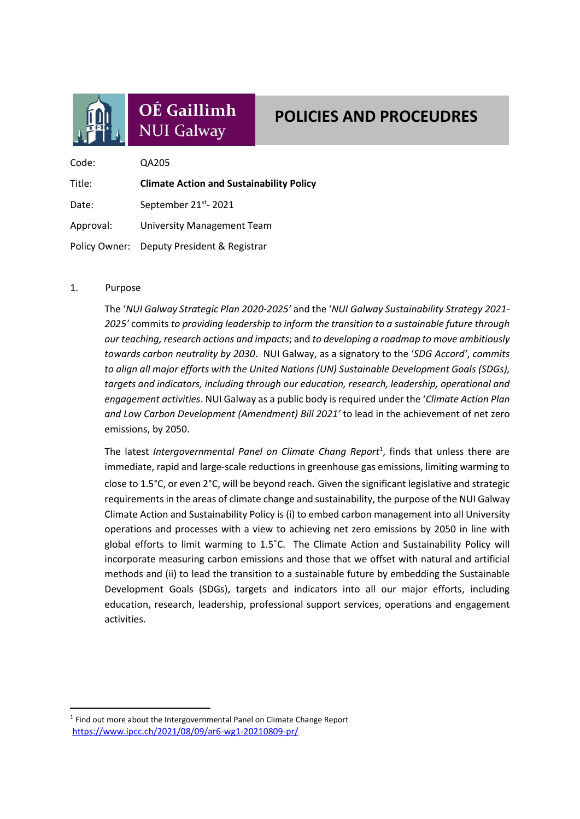

# OÉ Gaillimh **NUI Galway**

# **POLICIES AND PROCEUDRES**

Code: QA205 Title: **Climate Action and Sustainability Policy** Date: September 21<sup>st</sup>-2021 Approval: University Management Team Policy Owner: Deputy President & Registrar

## 1. Purpose

The '*NUI Galway Strategic Plan 2020-2025'* and the '*NUI Galway Sustainability Strategy 2021- 2025'* commits *to providing leadership to inform the transition to a sustainable future through our teaching, research actions and impacts*; and *to developing a roadmap to move ambitiously towards carbon neutrality by 2030*. NUI Galway, as a signatory to the '*SDG Accord'*, *commits to align all major efforts with the United Nations (UN) Sustainable Development Goals (SDGs), targets and indicators, including through our education, research, leadership, operational and engagement activities*. NUI Galway as a public body is required under the '*Climate Action Plan and Low Carbon Development (Amendment) Bill 2021'* to lead in the achievement of net zero emissions, by 2050.

The latest *Intergovernmental Panel on Climate Chang Report*<sup>1</sup> , finds that unless there are immediate, rapid and large-scale reductions in greenhouse gas emissions, limiting warming to close to 1.5°C, or even 2°C, will be beyond reach. Given the significant legislative and strategic requirements in the areas of climate change and sustainability, the purpose of the NUI Galway Climate Action and Sustainability Policy is (i) to embed carbon management into all University operations and processes with a view to achieving net zero emissions by 2050 in line with global efforts to limit warming to 1.5˚C. The Climate Action and Sustainability Policy will incorporate measuring carbon emissions and those that we offset with natural and artificial methods and (ii) to lead the transition to a sustainable future by embedding the Sustainable Development Goals (SDGs), targets and indicators into all our major efforts, including education, research, leadership, professional support services, operations and engagement activities.

<sup>&</sup>lt;sup>1</sup> Find out more about the Intergovernmental Panel on Climate Change Report <https://www.ipcc.ch/2021/08/09/ar6-wg1-20210809-pr/>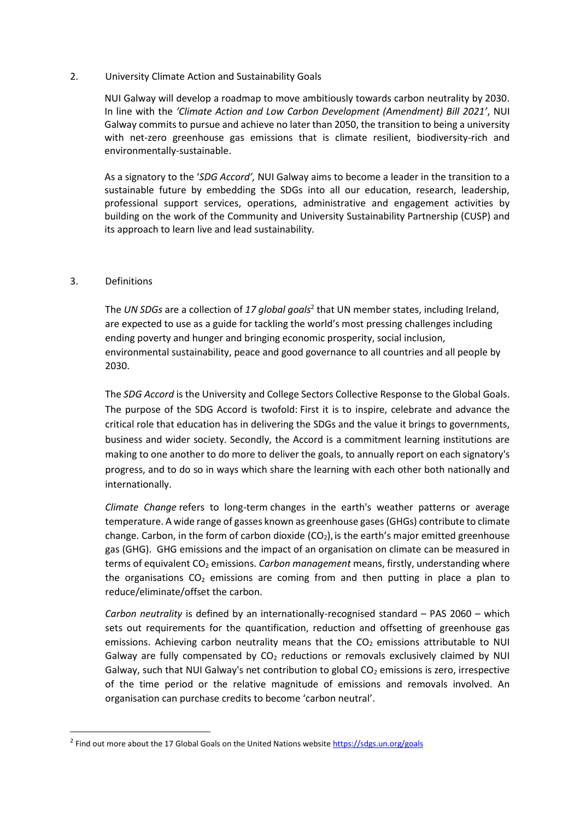#### 2. University Climate Action and Sustainability Goals

NUI Galway will develop a roadmap to move ambitiously towards carbon neutrality by 2030. In line with the *'Climate Action and Low Carbon Development (Amendment) Bill 2021'*, NUI Galway commits to pursue and achieve no later than 2050, the transition to being a university with net-zero greenhouse gas emissions that is climate resilient, biodiversity-rich and environmentally-sustainable.

As a signatory to the '*SDG Accord',* NUI Galway aims to become a leader in the transition to a sustainable future by embedding the SDGs into all our education, research, leadership, professional support services, operations, administrative and engagement activities by building on the work of the Community and University Sustainability Partnership (CUSP) and its approach to learn live and lead sustainability*.*

### 3. Definitions

The *UN SDGs* are a collection of *17 global goals*<sup>2</sup> that UN member states, including Ireland, are expected to use as a guide for tackling the world's most pressing challenges including ending poverty and hunger and bringing economic prosperity, social inclusion, environmental sustainability, peace and good governance to all countries and all people by 2030.

The *SDG Accord* is the University and College Sectors Collective Response to the Global Goals. The purpose of the SDG Accord is twofold: First it is to inspire, celebrate and advance the critical role that education has in delivering the SDGs and the value it brings to governments, business and wider society. Secondly, the Accord is a commitment learning institutions are making to one another to do more to deliver the goals, to annually report on each signatory's progress, and to do so in ways which share the learning with each other both nationally and internationally.

*Climate Change* refers to long-term changes in the earth's weather patterns or average temperature. A wide range of gasses known as greenhouse gases (GHGs) contribute to climate change. Carbon, in the form of carbon dioxide  $(CO<sub>2</sub>)$ , is the earth's major emitted greenhouse gas (GHG). GHG emissions and the impact of an organisation on climate can be measured in terms of equivalent CO<sub>2</sub> emissions. *Carbon management* means, firstly, understanding where the organisations  $CO<sub>2</sub>$  emissions are coming from and then putting in place a plan to reduce/eliminate/offset the carbon.

*Carbon neutrality* is defined by an internationally-recognised standard – PAS 2060 – which sets out requirements for the quantification, reduction and offsetting of greenhouse gas emissions. Achieving carbon neutrality means that the  $CO<sub>2</sub>$  emissions attributable to NUI Galway are fully compensated by  $CO<sub>2</sub>$  reductions or removals exclusively claimed by NUI Galway, such that NUI Galway's net contribution to global  $CO<sub>2</sub>$  emissions is zero, irrespective of the time period or the relative magnitude of emissions and removals involved. An organisation can purchase credits to become 'carbon neutral'.

<sup>&</sup>lt;sup>2</sup> Find out more about the 17 Global Goals on the United Nations website<https://sdgs.un.org/goals>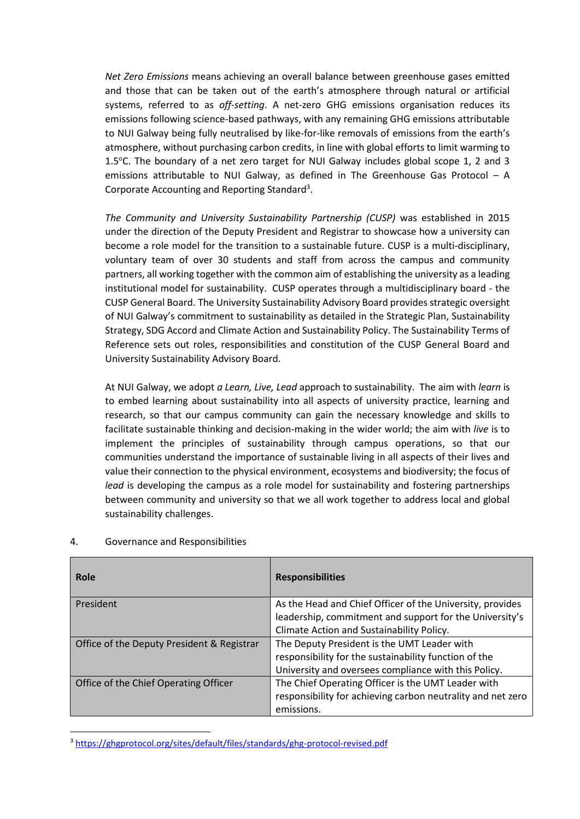*Net Zero Emissions* means achieving an overall balance between greenhouse gases emitted and those that can be taken out of the earth's atmosphere through natural or artificial systems, referred to as *off-setting*. A net-zero GHG emissions organisation reduces its emissions following science-based pathways, with any remaining GHG emissions attributable to NUI Galway being fully neutralised by like-for-like removals of emissions from the earth's atmosphere, without purchasing carbon credits, in line with global efforts to limit warming to 1.5°C. The boundary of a net zero target for NUI Galway includes global scope 1, 2 and 3 emissions attributable to NUI Galway, as defined in The Greenhouse Gas Protocol – A Corporate Accounting and Reporting Standard<sup>3</sup>.

*The Community and University Sustainability Partnership (CUSP)* was established in 2015 under the direction of the Deputy President and Registrar to showcase how a university can become a role model for the transition to a sustainable future. CUSP is a multi-disciplinary, voluntary team of over 30 students and staff from across the campus and community partners, all working together with the common aim of establishing the university as a leading institutional model for sustainability. CUSP operates through a multidisciplinary board - the CUSP General Board. The University Sustainability Advisory Board provides strategic oversight of NUI Galway's commitment to sustainability as detailed in the Strategic Plan, Sustainability Strategy, SDG Accord and Climate Action and Sustainability Policy. The Sustainability Terms of Reference sets out roles, responsibilities and constitution of the CUSP General Board and University Sustainability Advisory Board.

At NUI Galway, we adopt *a Learn, Live, Lead* approach to sustainability. The aim with *learn* is to embed learning about sustainability into all aspects of university practice, learning and research, so that our campus community can gain the necessary knowledge and skills to facilitate sustainable thinking and decision-making in the wider world; the aim with *live* is to implement the principles of sustainability through campus operations, so that our communities understand the importance of sustainable living in all aspects of their lives and value their connection to the physical environment, ecosystems and biodiversity; the focus of *lead* is developing the campus as a role model for sustainability and fostering partnerships between community and university so that we all work together to address local and global sustainability challenges.

| Role                                       | <b>Responsibilities</b>                                     |
|--------------------------------------------|-------------------------------------------------------------|
| President                                  | As the Head and Chief Officer of the University, provides   |
|                                            | leadership, commitment and support for the University's     |
|                                            | Climate Action and Sustainability Policy.                   |
| Office of the Deputy President & Registrar | The Deputy President is the UMT Leader with                 |
|                                            | responsibility for the sustainability function of the       |
|                                            | University and oversees compliance with this Policy.        |
| Office of the Chief Operating Officer      | The Chief Operating Officer is the UMT Leader with          |
|                                            | responsibility for achieving carbon neutrality and net zero |
|                                            | emissions.                                                  |

### 4. Governance and Responsibilities

<sup>3</sup> <https://ghgprotocol.org/sites/default/files/standards/ghg-protocol-revised.pdf>